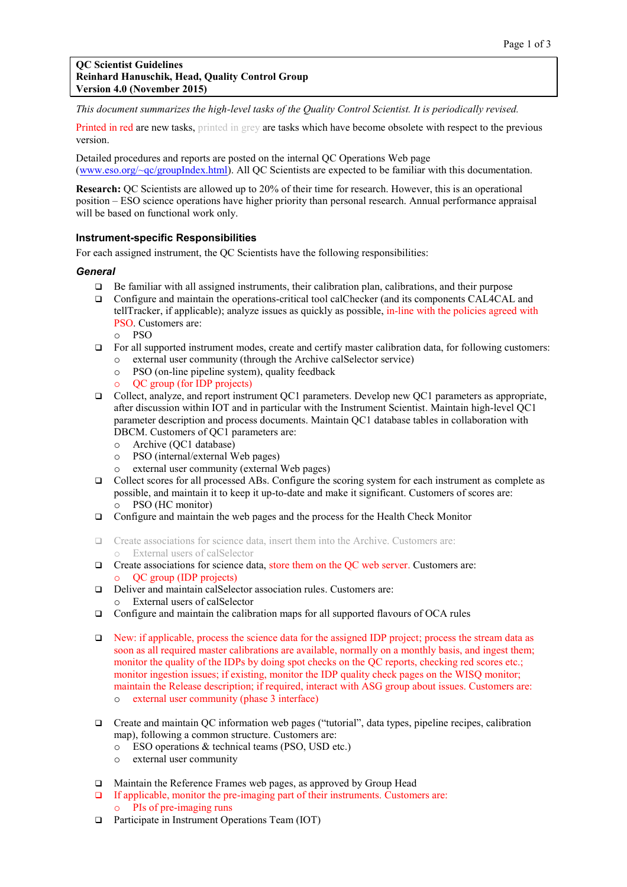*This document summarizes the high-level tasks of the Quality Control Scientist. It is periodically revised.*

Printed in red are new tasks, printed in grey are tasks which have become obsolete with respect to the previous version.

Detailed procedures and reports are posted on the internal QC Operations Web page [\(www.eso.org/~qc/groupIndex.html\)](www.eso.org/~qc/groupIndex.html). All QC Scientists are expected to be familiar with this documentation.

**Research:** QC Scientists are allowed up to 20% of their time for research. However, this is an operational position – ESO science operations have higher priority than personal research. Annual performance appraisal will be based on functional work only.

#### **Instrument-specific Responsibilities**

For each assigned instrument, the QC Scientists have the following responsibilities:

#### *General*

- $\Box$  Be familiar with all assigned instruments, their calibration plan, calibrations, and their purpose
- Configure and maintain the operations-critical tool calChecker (and its components CAL4CAL and tellTracker, if applicable); analyze issues as quickly as possible, in-line with the policies agreed with PSO. Customers are:
	- o PSO
- $\Box$  For all supported instrument modes, create and certify master calibration data, for following customers: o external user community (through the Archive calSelector service)
	- o PSO (on-line pipeline system), quality feedback
	- o QC group (for IDP projects)
- Collect, analyze, and report instrument QC1 parameters. Develop new QC1 parameters as appropriate, after discussion within IOT and in particular with the Instrument Scientist. Maintain high-level QC1 parameter description and process documents. Maintain QC1 database tables in collaboration with DBCM. Customers of QC1 parameters are:
	- o Archive (QC1 database)
	- o PSO (internal/external Web pages)
	- o external user community (external Web pages)
- Collect scores for all processed ABs. Configure the scoring system for each instrument as complete as possible, and maintain it to keep it up-to-date and make it significant. Customers of scores are: o PSO (HC monitor)
- Configure and maintain the web pages and the process for the Health Check Monitor
- Create associations for science data, insert them into the Archive. Customers are: External users of calSelector
- $\Box$  Create associations for science data, store them on the QC web server. Customers are: QC group (IDP projects)
- Deliver and maintain calSelector association rules. Customers are: External users of calSelector
- Configure and maintain the calibration maps for all supported flavours of OCA rules
- New: if applicable, process the science data for the assigned IDP project; process the stream data as soon as all required master calibrations are available, normally on a monthly basis, and ingest them; monitor the quality of the IDPs by doing spot checks on the QC reports, checking red scores etc.; monitor ingestion issues; if existing, monitor the IDP quality check pages on the WISQ monitor; maintain the Release description; if required, interact with ASG group about issues. Customers are: o external user community (phase 3 interface)
- Create and maintain QC information web pages ("tutorial", data types, pipeline recipes, calibration map), following a common structure. Customers are:
	- o ESO operations & technical teams (PSO, USD etc.)
	- o external user community
- Maintain the Reference Frames web pages, as approved by Group Head
- $\Box$  If applicable, monitor the pre-imaging part of their instruments. Customers are: o PIs of pre-imaging runs
- □ Participate in Instrument Operations Team (IOT)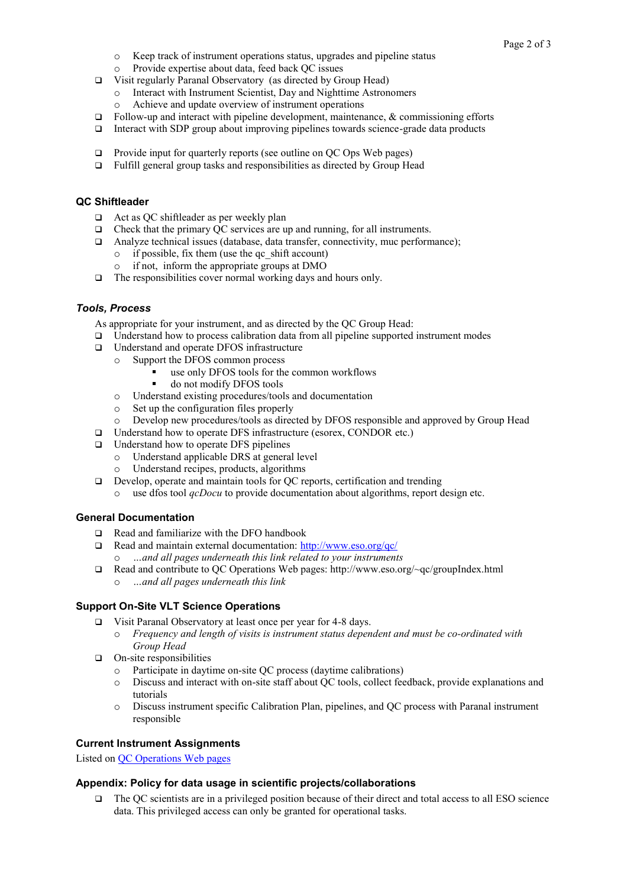- o Keep track of instrument operations status, upgrades and pipeline status
- o Provide expertise about data, feed back QC issues
- Visit regularly Paranal Observatory (as directed by Group Head)
	- o Interact with Instrument Scientist, Day and Nighttime Astronomers
	- Achieve and update overview of instrument operations
- Follow-up and interact with pipeline development, maintenance,  $\&$  commissioning efforts
- $\Box$  Interact with SDP group about improving pipelines towards science-grade data products
- $\Box$  Provide input for quarterly reports (see outline on QC Ops Web pages)
- Fulfill general group tasks and responsibilities as directed by Group Head

# **QC Shiftleader**

- $\Box$  Act as QC shiftleader as per weekly plan
- $\Box$  Check that the primary QC services are up and running, for all instruments.
- Analyze technical issues (database, data transfer, connectivity, muc performance);
	- o if possible, fix them (use the qc\_shift account)
	- o if not, inform the appropriate groups at DMO
- $\Box$  The responsibilities cover normal working days and hours only.

## *Tools, Process*

As appropriate for your instrument, and as directed by the QC Group Head:

- $\Box$  Understand how to process calibration data from all pipeline supported instrument modes
- □ Understand and operate DFOS infrastructure
	- o Support the DFOS common process
		- use only DFOS tools for the common workflows
		- do not modify DFOS tools
		- o Understand existing procedures/tools and documentation
		- o Set up the configuration files properly
	- o Develop new procedures/tools as directed by DFOS responsible and approved by Group Head
- □ Understand how to operate DFS infrastructure (esorex, CONDOR etc.)
- $\Box$  Understand how to operate DFS pipelines
	- o Understand applicable DRS at general level
	- o Understand recipes, products, algorithms
- Develop, operate and maintain tools for QC reports, certification and trending
	- o use dfos tool *qcDocu* to provide documentation about algorithms, report design etc.

## **General Documentation**

- $\Box$  Read and familiarize with the DFO handbook
- $\Box$  Read and maintain external documentation:<http://www.eso.org/qc/> o *…and all pages underneath this link related to your instruments*
- Read and contribute to QC Operations Web pages: http://www.eso.org/~qc/groupIndex.html
	- o *…and all pages underneath this link*

## **Support On-Site VLT Science Operations**

- Visit Paranal Observatory at least once per year for 4-8 days.
	- o *Frequency and length of visits is instrument status dependent and must be co-ordinated with Group Head*
- $\Box$  On-site responsibilities
	- o Participate in daytime on-site QC process (daytime calibrations)
	- o Discuss and interact with on-site staff about QC tools, collect feedback, provide explanations and tutorials
	- o Discuss instrument specific Calibration Plan, pipelines, and QC process with Paranal instrument responsible

## **Current Instrument Assignments**

Listed on [QC Operations Web pages](http://www.eso.org/~qc/admin/qc-staff.html)

## **Appendix: Policy for data usage in scientific projects/collaborations**

 The QC scientists are in a privileged position because of their direct and total access to all ESO science data. This privileged access can only be granted for operational tasks.